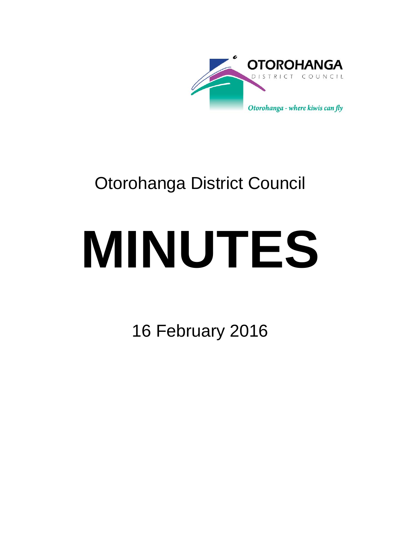

# Otorohanga District Council

# **MINUTES**

16 February 2016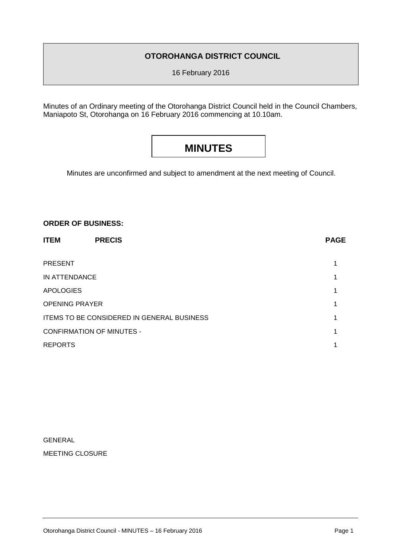### **OTOROHANGA DISTRICT COUNCIL**

16 February 2016

Minutes of an Ordinary meeting of the Otorohanga District Council held in the Council Chambers, Maniapoto St, Otorohanga on 16 February 2016 commencing at 10.10am.

## **MINUTES**

Minutes are unconfirmed and subject to amendment at the next meeting of Council.

#### **ORDER OF BUSINESS:**

| <b>ITEM</b>                                | <b>PRECIS</b> | <b>PAGE</b> |
|--------------------------------------------|---------------|-------------|
| <b>PRESENT</b>                             |               |             |
| IN ATTENDANCE                              |               |             |
| <b>APOLOGIES</b>                           |               |             |
| <b>OPENING PRAYER</b>                      |               |             |
| ITEMS TO BE CONSIDERED IN GENERAL BUSINESS |               |             |
| <b>CONFIRMATION OF MINUTES -</b>           |               |             |
| <b>REPORTS</b>                             |               |             |
|                                            |               |             |

| GENERAL                |
|------------------------|
| <b>MEETING CLOSURE</b> |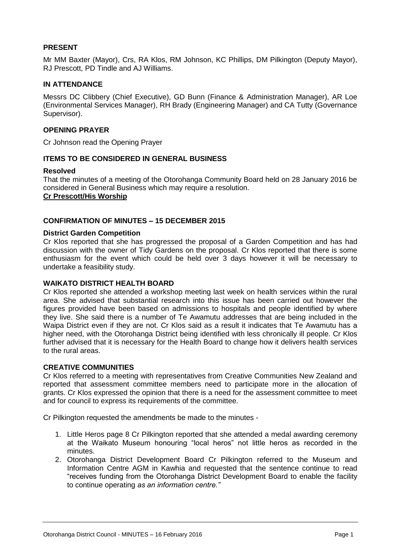#### **PRESENT**

Mr MM Baxter (Mayor), Crs, RA Klos, RM Johnson, KC Phillips, DM Pilkington (Deputy Mayor), RJ Prescott, PD Tindle and AJ Williams.

#### **IN ATTENDANCE**

Messrs DC Clibbery (Chief Executive), GD Bunn (Finance & Administration Manager), AR Loe (Environmental Services Manager), RH Brady (Engineering Manager) and CA Tutty (Governance Supervisor).

#### **OPENING PRAYER**

Cr Johnson read the Opening Prayer

#### **ITEMS TO BE CONSIDERED IN GENERAL BUSINESS**

#### **Resolved**

That the minutes of a meeting of the Otorohanga Community Board held on 28 January 2016 be considered in General Business which may require a resolution. **Cr Prescott/His Worship**

#### **CONFIRMATION OF MINUTES – 15 DECEMBER 2015**

#### **District Garden Competition**

Cr Klos reported that she has progressed the proposal of a Garden Competition and has had discussion with the owner of Tidy Gardens on the proposal. Cr Klos reported that there is some enthusiasm for the event which could be held over 3 days however it will be necessary to undertake a feasibility study.

#### **WAIKATO DISTRICT HEALTH BOARD**

Cr Klos reported she attended a workshop meeting last week on health services within the rural area. She advised that substantial research into this issue has been carried out however the figures provided have been based on admissions to hospitals and people identified by where they live. She said there is a number of Te Awamutu addresses that are being included in the Waipa District even if they are not. Cr Klos said as a result it indicates that Te Awamutu has a higher need, with the Otorohanga District being identified with less chronically ill people. Cr Klos further advised that it is necessary for the Health Board to change how it delivers health services to the rural areas.

#### **CREATIVE COMMUNITIES**

Cr Klos referred to a meeting with representatives from Creative Communities New Zealand and reported that assessment committee members need to participate more in the allocation of grants. Cr Klos expressed the opinion that there is a need for the assessment committee to meet and for council to express its requirements of the committee.

Cr Pilkington requested the amendments be made to the minutes -

- 1. Little Heros page 8 Cr Pilkington reported that she attended a medal awarding ceremony at the Waikato Museum honouring "local heros" not little heros as recorded in the minutes.
- 2. Otorohanga District Development Board Cr Pilkington referred to the Museum and Information Centre AGM in Kawhia and requested that the sentence continue to read "receives funding from the Otorohanga District Development Board to enable the facility to continue operating *as an information centre."*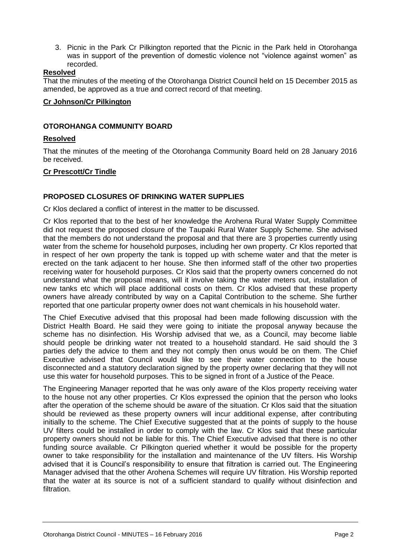3. Picnic in the Park Cr Pilkington reported that the Picnic in the Park held in Otorohanga was in support of the prevention of domestic violence not "violence against women" as recorded.

#### **Resolved**

That the minutes of the meeting of the Otorohanga District Council held on 15 December 2015 as amended, be approved as a true and correct record of that meeting.

#### **Cr Johnson/Cr Pilkington**

#### **OTOROHANGA COMMUNITY BOARD**

#### **Resolved**

That the minutes of the meeting of the Otorohanga Community Board held on 28 January 2016 be received.

#### **Cr Prescott/Cr Tindle**

#### **PROPOSED CLOSURES OF DRINKING WATER SUPPLIES**

Cr Klos declared a conflict of interest in the matter to be discussed.

Cr Klos reported that to the best of her knowledge the Arohena Rural Water Supply Committee did not request the proposed closure of the Taupaki Rural Water Supply Scheme. She advised that the members do not understand the proposal and that there are 3 properties currently using water from the scheme for household purposes, including her own property. Cr Klos reported that in respect of her own property the tank is topped up with scheme water and that the meter is erected on the tank adjacent to her house. She then informed staff of the other two properties receiving water for household purposes. Cr Klos said that the property owners concerned do not understand what the proposal means, will it involve taking the water meters out, installation of new tanks etc which will place additional costs on them. Cr Klos advised that these property owners have already contributed by way on a Capital Contribution to the scheme. She further reported that one particular property owner does not want chemicals in his household water.

The Chief Executive advised that this proposal had been made following discussion with the District Health Board. He said they were going to initiate the proposal anyway because the scheme has no disinfection. His Worship advised that we, as a Council, may become liable should people be drinking water not treated to a household standard. He said should the 3 parties defy the advice to them and they not comply then onus would be on them. The Chief Executive advised that Council would like to see their water connection to the house disconnected and a statutory declaration signed by the property owner declaring that they will not use this water for household purposes. This to be signed in front of a Justice of the Peace.

The Engineering Manager reported that he was only aware of the Klos property receiving water to the house not any other properties. Cr Klos expressed the opinion that the person who looks after the operation of the scheme should be aware of the situation. Cr Klos said that the situation should be reviewed as these property owners will incur additional expense, after contributing initially to the scheme. The Chief Executive suggested that at the points of supply to the house UV filters could be installed in order to comply with the law. Cr Klos said that these particular property owners should not be liable for this. The Chief Executive advised that there is no other funding source available. Cr Pilkington queried whether it would be possible for the property owner to take responsibility for the installation and maintenance of the UV filters. His Worship advised that it is Council's responsibility to ensure that filtration is carried out. The Engineering Manager advised that the other Arohena Schemes will require UV filtration. His Worship reported that the water at its source is not of a sufficient standard to qualify without disinfection and filtration.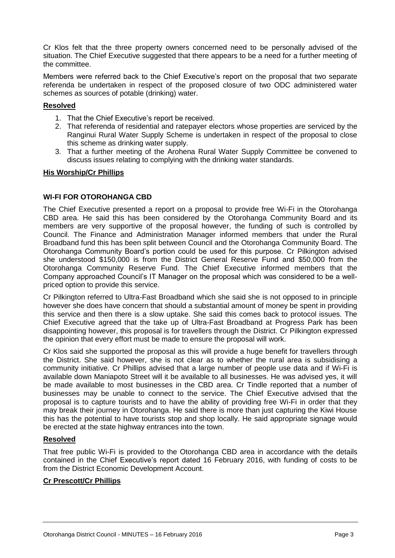Cr Klos felt that the three property owners concerned need to be personally advised of the situation. The Chief Executive suggested that there appears to be a need for a further meeting of the committee.

Members were referred back to the Chief Executive's report on the proposal that two separate referenda be undertaken in respect of the proposed closure of two ODC administered water schemes as sources of potable (drinking) water.

#### **Resolved**

- 1. That the Chief Executive's report be received.
- 2. That referenda of residential and ratepayer electors whose properties are serviced by the Ranginui Rural Water Supply Scheme is undertaken in respect of the proposal to close this scheme as drinking water supply.
- 3. That a further meeting of the Arohena Rural Water Supply Committee be convened to discuss issues relating to complying with the drinking water standards.

#### **His Worship/Cr Phillips**

#### **WI-FI FOR OTOROHANGA CBD**

The Chief Executive presented a report on a proposal to provide free Wi-Fi in the Otorohanga CBD area. He said this has been considered by the Otorohanga Community Board and its members are very supportive of the proposal however, the funding of such is controlled by Council. The Finance and Administration Manager informed members that under the Rural Broadband fund this has been split between Council and the Otorohanga Community Board. The Otorohanga Community Board's portion could be used for this purpose. Cr Pilkington advised she understood \$150,000 is from the District General Reserve Fund and \$50,000 from the Otorohanga Community Reserve Fund. The Chief Executive informed members that the Company approached Council's IT Manager on the proposal which was considered to be a wellpriced option to provide this service.

Cr Pilkington referred to Ultra-Fast Broadband which she said she is not opposed to in principle however she does have concern that should a substantial amount of money be spent in providing this service and then there is a slow uptake. She said this comes back to protocol issues. The Chief Executive agreed that the take up of Ultra-Fast Broadband at Progress Park has been disappointing however, this proposal is for travellers through the District. Cr Pilkington expressed the opinion that every effort must be made to ensure the proposal will work.

Cr Klos said she supported the proposal as this will provide a huge benefit for travellers through the District. She said however, she is not clear as to whether the rural area is subsidising a community initiative. Cr Phillips advised that a large number of people use data and if Wi-Fi is available down Maniapoto Street will it be available to all businesses. He was advised yes, it will be made available to most businesses in the CBD area. Cr Tindle reported that a number of businesses may be unable to connect to the service. The Chief Executive advised that the proposal is to capture tourists and to have the ability of providing free Wi-Fi in order that they may break their journey in Otorohanga. He said there is more than just capturing the Kiwi House this has the potential to have tourists stop and shop locally. He said appropriate signage would be erected at the state highway entrances into the town.

#### **Resolved**

That free public Wi-Fi is provided to the Otorohanga CBD area in accordance with the details contained in the Chief Executive's report dated 16 February 2016, with funding of costs to be from the District Economic Development Account.

#### **Cr Prescott/Cr Phillips**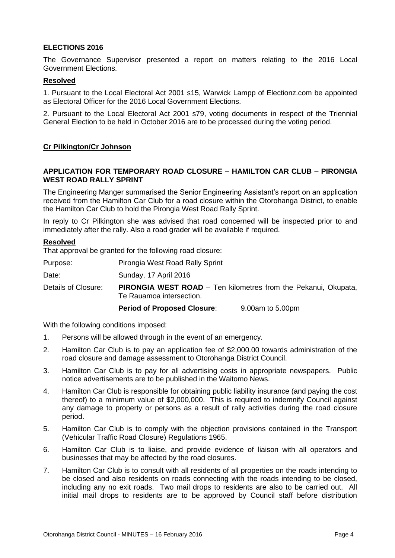#### **ELECTIONS 2016**

The Governance Supervisor presented a report on matters relating to the 2016 Local Government Elections.

#### **Resolved**

1. Pursuant to the Local Electoral Act 2001 s15, Warwick Lampp of Electionz.com be appointed as Electoral Officer for the 2016 Local Government Elections.

2. Pursuant to the Local Electoral Act 2001 s79, voting documents in respect of the Triennial General Election to be held in October 2016 are to be processed during the voting period.

#### **Cr Pilkington/Cr Johnson**

#### **APPLICATION FOR TEMPORARY ROAD CLOSURE – HAMILTON CAR CLUB – PIRONGIA WEST ROAD RALLY SPRINT**

The Engineering Manger summarised the Senior Engineering Assistant's report on an application received from the Hamilton Car Club for a road closure within the Otorohanga District, to enable the Hamilton Car Club to hold the Pirongia West Road Rally Sprint.

In reply to Cr Pilkington she was advised that road concerned will be inspected prior to and immediately after the rally. Also a road grader will be available if required.

#### **Resolved**

That approval be granted for the following road closure:

Purpose: Pirongia West Road Rally Sprint

Date: Sunday, 17 April 2016

Details of Closure: **PIRONGIA WEST ROAD** – Ten kilometres from the Pekanui, Okupata, Te Rauamoa intersection.

**Period of Proposed Closure**: 9.00am to 5.00pm

With the following conditions imposed:

- 1. Persons will be allowed through in the event of an emergency.
- 2. Hamilton Car Club is to pay an application fee of \$2,000.00 towards administration of the road closure and damage assessment to Otorohanga District Council.
- 3. Hamilton Car Club is to pay for all advertising costs in appropriate newspapers. Public notice advertisements are to be published in the Waitomo News.
- 4. Hamilton Car Club is responsible for obtaining public liability insurance (and paying the cost thereof) to a minimum value of \$2,000,000. This is required to indemnify Council against any damage to property or persons as a result of rally activities during the road closure period.
- 5. Hamilton Car Club is to comply with the objection provisions contained in the Transport (Vehicular Traffic Road Closure) Regulations 1965.
- 6. Hamilton Car Club is to liaise, and provide evidence of liaison with all operators and businesses that may be affected by the road closures.
- 7. Hamilton Car Club is to consult with all residents of all properties on the roads intending to be closed and also residents on roads connecting with the roads intending to be closed, including any no exit roads. Two mail drops to residents are also to be carried out. All initial mail drops to residents are to be approved by Council staff before distribution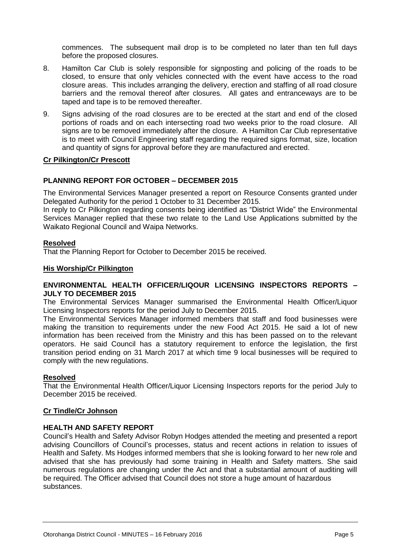commences. The subsequent mail drop is to be completed no later than ten full days before the proposed closures.

- 8. Hamilton Car Club is solely responsible for signposting and policing of the roads to be closed, to ensure that only vehicles connected with the event have access to the road closure areas. This includes arranging the delivery, erection and staffing of all road closure barriers and the removal thereof after closures. All gates and entranceways are to be taped and tape is to be removed thereafter.
- 9. Signs advising of the road closures are to be erected at the start and end of the closed portions of roads and on each intersecting road two weeks prior to the road closure. All signs are to be removed immediately after the closure. A Hamilton Car Club representative is to meet with Council Engineering staff regarding the required signs format, size, location and quantity of signs for approval before they are manufactured and erected.

#### **Cr Pilkington/Cr Prescott**

#### **PLANNING REPORT FOR OCTOBER – DECEMBER 2015**

The Environmental Services Manager presented a report on Resource Consents granted under Delegated Authority for the period 1 October to 31 December 2015.

In reply to Cr Pilkington regarding consents being identified as "District Wide" the Environmental Services Manager replied that these two relate to the Land Use Applications submitted by the Waikato Regional Council and Waipa Networks.

#### **Resolved**

That the Planning Report for October to December 2015 be received.

#### **His Worship/Cr Pilkington**

#### **ENVIRONMENTAL HEALTH OFFICER/LIQOUR LICENSING INSPECTORS REPORTS – JULY TO DECEMBER 2015**

The Environmental Services Manager summarised the Environmental Health Officer/Liquor Licensing Inspectors reports for the period July to December 2015.

The Environmental Services Manager informed members that staff and food businesses were making the transition to requirements under the new Food Act 2015. He said a lot of new information has been received from the Ministry and this has been passed on to the relevant operators. He said Council has a statutory requirement to enforce the legislation, the first transition period ending on 31 March 2017 at which time 9 local businesses will be required to comply with the new regulations.

#### **Resolved**

That the Environmental Health Officer/Liquor Licensing Inspectors reports for the period July to December 2015 be received.

#### **Cr Tindle/Cr Johnson**

#### **HEALTH AND SAFETY REPORT**

Council's Health and Safety Advisor Robyn Hodges attended the meeting and presented a report advising Councillors of Council's processes, status and recent actions in relation to issues of Health and Safety. Ms Hodges informed members that she is looking forward to her new role and advised that she has previously had some training in Health and Safety matters. She said numerous regulations are changing under the Act and that a substantial amount of auditing will be required. The Officer advised that Council does not store a huge amount of hazardous substances.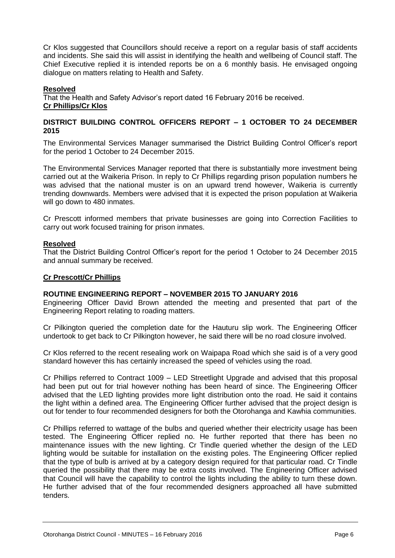Cr Klos suggested that Councillors should receive a report on a regular basis of staff accidents and incidents. She said this will assist in identifying the health and wellbeing of Council staff. The Chief Executive replied it is intended reports be on a 6 monthly basis. He envisaged ongoing dialogue on matters relating to Health and Safety.

#### **Resolved**

That the Health and Safety Advisor's report dated 16 February 2016 be received. **Cr Phillips/Cr Klos**

#### **DISTRICT BUILDING CONTROL OFFICERS REPORT – 1 OCTOBER TO 24 DECEMBER 2015**

The Environmental Services Manager summarised the District Building Control Officer's report for the period 1 October to 24 December 2015.

The Environmental Services Manager reported that there is substantially more investment being carried out at the Waikeria Prison. In reply to Cr Phillips regarding prison population numbers he was advised that the national muster is on an upward trend however, Waikeria is currently trending downwards. Members were advised that it is expected the prison population at Waikeria will go down to 480 inmates.

Cr Prescott informed members that private businesses are going into Correction Facilities to carry out work focused training for prison inmates.

#### **Resolved**

That the District Building Control Officer's report for the period 1 October to 24 December 2015 and annual summary be received.

#### **Cr Prescott/Cr Phillips**

#### **ROUTINE ENGINEERING REPORT – NOVEMBER 2015 TO JANUARY 2016**

Engineering Officer David Brown attended the meeting and presented that part of the Engineering Report relating to roading matters.

Cr Pilkington queried the completion date for the Hauturu slip work. The Engineering Officer undertook to get back to Cr Pilkington however, he said there will be no road closure involved.

Cr Klos referred to the recent resealing work on Waipapa Road which she said is of a very good standard however this has certainly increased the speed of vehicles using the road.

Cr Phillips referred to Contract 1009 – LED Streetlight Upgrade and advised that this proposal had been put out for trial however nothing has been heard of since. The Engineering Officer advised that the LED lighting provides more light distribution onto the road. He said it contains the light within a defined area. The Engineering Officer further advised that the project design is out for tender to four recommended designers for both the Otorohanga and Kawhia communities.

Cr Phillips referred to wattage of the bulbs and queried whether their electricity usage has been tested. The Engineering Officer replied no. He further reported that there has been no maintenance issues with the new lighting. Cr Tindle queried whether the design of the LED lighting would be suitable for installation on the existing poles. The Engineering Officer replied that the type of bulb is arrived at by a category design required for that particular road. Cr Tindle queried the possibility that there may be extra costs involved. The Engineering Officer advised that Council will have the capability to control the lights including the ability to turn these down. He further advised that of the four recommended designers approached all have submitted tenders.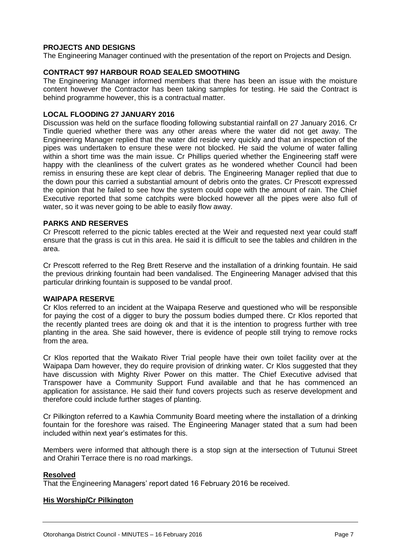#### **PROJECTS AND DESIGNS**

The Engineering Manager continued with the presentation of the report on Projects and Design.

#### **CONTRACT 997 HARBOUR ROAD SEALED SMOOTHING**

The Engineering Manager informed members that there has been an issue with the moisture content however the Contractor has been taking samples for testing. He said the Contract is behind programme however, this is a contractual matter.

#### **LOCAL FLOODING 27 JANUARY 2016**

Discussion was held on the surface flooding following substantial rainfall on 27 January 2016. Cr Tindle queried whether there was any other areas where the water did not get away. The Engineering Manager replied that the water did reside very quickly and that an inspection of the pipes was undertaken to ensure these were not blocked. He said the volume of water falling within a short time was the main issue. Cr Phillips queried whether the Engineering staff were happy with the cleanliness of the culvert grates as he wondered whether Council had been remiss in ensuring these are kept clear of debris. The Engineering Manager replied that due to the down pour this carried a substantial amount of debris onto the grates. Cr Prescott expressed the opinion that he failed to see how the system could cope with the amount of rain. The Chief Executive reported that some catchpits were blocked however all the pipes were also full of water, so it was never going to be able to easily flow away.

#### **PARKS AND RESERVES**

Cr Prescott referred to the picnic tables erected at the Weir and requested next year could staff ensure that the grass is cut in this area. He said it is difficult to see the tables and children in the area.

Cr Prescott referred to the Reg Brett Reserve and the installation of a drinking fountain. He said the previous drinking fountain had been vandalised. The Engineering Manager advised that this particular drinking fountain is supposed to be vandal proof.

#### **WAIPAPA RESERVE**

Cr Klos referred to an incident at the Waipapa Reserve and questioned who will be responsible for paying the cost of a digger to bury the possum bodies dumped there. Cr Klos reported that the recently planted trees are doing ok and that it is the intention to progress further with tree planting in the area. She said however, there is evidence of people still trying to remove rocks from the area.

Cr Klos reported that the Waikato River Trial people have their own toilet facility over at the Waipapa Dam however, they do require provision of drinking water. Cr Klos suggested that they have discussion with Mighty River Power on this matter. The Chief Executive advised that Transpower have a Community Support Fund available and that he has commenced an application for assistance. He said their fund covers projects such as reserve development and therefore could include further stages of planting.

Cr Pilkington referred to a Kawhia Community Board meeting where the installation of a drinking fountain for the foreshore was raised. The Engineering Manager stated that a sum had been included within next year's estimates for this.

Members were informed that although there is a stop sign at the intersection of Tutunui Street and Orahiri Terrace there is no road markings.

#### **Resolved**

That the Engineering Managers' report dated 16 February 2016 be received.

#### **His Worship/Cr Pilkington**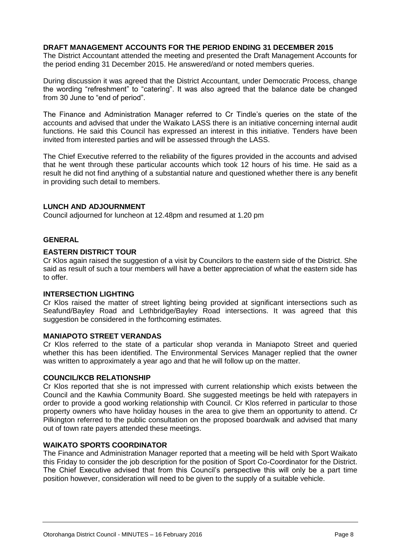#### **DRAFT MANAGEMENT ACCOUNTS FOR THE PERIOD ENDING 31 DECEMBER 2015**

The District Accountant attended the meeting and presented the Draft Management Accounts for the period ending 31 December 2015. He answered/and or noted members queries.

During discussion it was agreed that the District Accountant, under Democratic Process, change the wording "refreshment" to "catering". It was also agreed that the balance date be changed from 30 June to "end of period".

The Finance and Administration Manager referred to Cr Tindle's queries on the state of the accounts and advised that under the Waikato LASS there is an initiative concerning internal audit functions. He said this Council has expressed an interest in this initiative. Tenders have been invited from interested parties and will be assessed through the LASS.

The Chief Executive referred to the reliability of the figures provided in the accounts and advised that he went through these particular accounts which took 12 hours of his time. He said as a result he did not find anything of a substantial nature and questioned whether there is any benefit in providing such detail to members.

#### **LUNCH AND ADJOURNMENT**

Council adjourned for luncheon at 12.48pm and resumed at 1.20 pm

#### **GENERAL**

#### **EASTERN DISTRICT TOUR**

Cr Klos again raised the suggestion of a visit by Councilors to the eastern side of the District. She said as result of such a tour members will have a better appreciation of what the eastern side has to offer.

#### **INTERSECTION LIGHTING**

Cr Klos raised the matter of street lighting being provided at significant intersections such as Seafund/Bayley Road and Lethbridge/Bayley Road intersections. It was agreed that this suggestion be considered in the forthcoming estimates.

#### **MANIAPOTO STREET VERANDAS**

Cr Klos referred to the state of a particular shop veranda in Maniapoto Street and queried whether this has been identified. The Environmental Services Manager replied that the owner was written to approximately a year ago and that he will follow up on the matter.

#### **COUNCIL/KCB RELATIONSHIP**

Cr Klos reported that she is not impressed with current relationship which exists between the Council and the Kawhia Community Board. She suggested meetings be held with ratepayers in order to provide a good working relationship with Council. Cr Klos referred in particular to those property owners who have holiday houses in the area to give them an opportunity to attend. Cr Pilkington referred to the public consultation on the proposed boardwalk and advised that many out of town rate payers attended these meetings.

#### **WAIKATO SPORTS COORDINATOR**

The Finance and Administration Manager reported that a meeting will be held with Sport Waikato this Friday to consider the job description for the position of Sport Co-Coordinator for the District. The Chief Executive advised that from this Council's perspective this will only be a part time position however, consideration will need to be given to the supply of a suitable vehicle.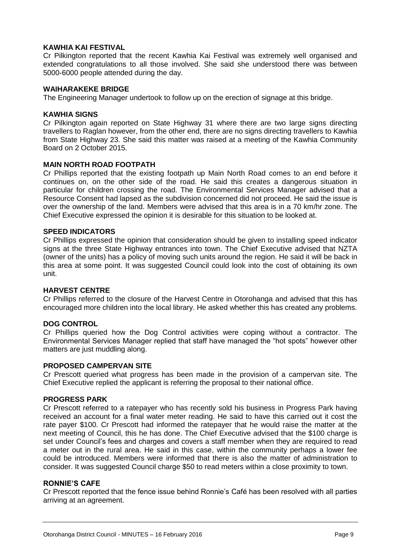#### **KAWHIA KAI FESTIVAL**

Cr Pilkington reported that the recent Kawhia Kai Festival was extremely well organised and extended congratulations to all those involved. She said she understood there was between 5000-6000 people attended during the day.

#### **WAIHARAKEKE BRIDGE**

The Engineering Manager undertook to follow up on the erection of signage at this bridge.

#### **KAWHIA SIGNS**

Cr Pilkington again reported on State Highway 31 where there are two large signs directing travellers to Raglan however, from the other end, there are no signs directing travellers to Kawhia from State Highway 23. She said this matter was raised at a meeting of the Kawhia Community Board on 2 October 2015.

#### **MAIN NORTH ROAD FOOTPATH**

Cr Phillips reported that the existing footpath up Main North Road comes to an end before it continues on, on the other side of the road. He said this creates a dangerous situation in particular for children crossing the road. The Environmental Services Manager advised that a Resource Consent had lapsed as the subdivision concerned did not proceed. He said the issue is over the ownership of the land. Members were advised that this area is in a 70 km/hr zone. The Chief Executive expressed the opinion it is desirable for this situation to be looked at.

#### **SPEED INDICATORS**

Cr Phillips expressed the opinion that consideration should be given to installing speed indicator signs at the three State Highway entrances into town. The Chief Executive advised that NZTA (owner of the units) has a policy of moving such units around the region. He said it will be back in this area at some point. It was suggested Council could look into the cost of obtaining its own unit.

#### **HARVEST CENTRE**

Cr Phillips referred to the closure of the Harvest Centre in Otorohanga and advised that this has encouraged more children into the local library. He asked whether this has created any problems.

#### **DOG CONTROL**

Cr Phillips queried how the Dog Control activities were coping without a contractor. The Environmental Services Manager replied that staff have managed the "hot spots" however other matters are just muddling along.

#### **PROPOSED CAMPERVAN SITE**

Cr Prescott queried what progress has been made in the provision of a campervan site. The Chief Executive replied the applicant is referring the proposal to their national office.

#### **PROGRESS PARK**

Cr Prescott referred to a ratepayer who has recently sold his business in Progress Park having received an account for a final water meter reading. He said to have this carried out it cost the rate payer \$100. Cr Prescott had informed the ratepayer that he would raise the matter at the next meeting of Council, this he has done. The Chief Executive advised that the \$100 charge is set under Council's fees and charges and covers a staff member when they are required to read a meter out in the rural area. He said in this case, within the community perhaps a lower fee could be introduced. Members were informed that there is also the matter of administration to consider. It was suggested Council charge \$50 to read meters within a close proximity to town.

#### **RONNIE'S CAFE**

Cr Prescott reported that the fence issue behind Ronnie's Café has been resolved with all parties arriving at an agreement.